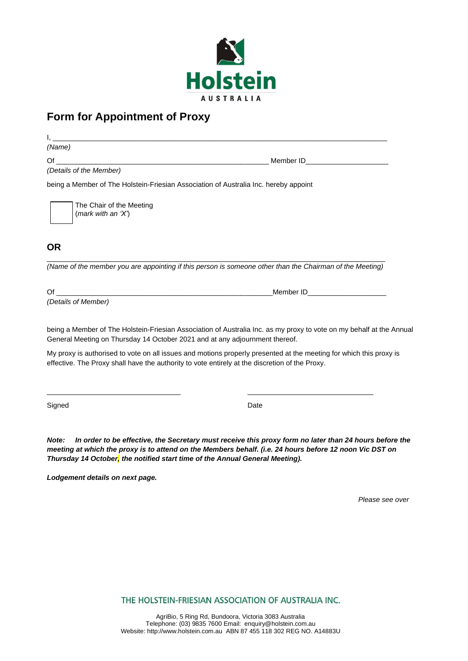

# **Form for Appointment of Proxy**

I, \_\_\_\_\_\_\_\_\_\_\_\_\_\_\_\_\_\_\_\_\_\_\_\_\_\_\_\_\_\_\_\_\_\_\_\_\_\_\_\_\_\_\_\_\_\_\_\_\_\_\_\_\_\_\_\_\_\_\_\_\_\_\_\_\_\_\_\_\_\_\_\_\_\_\_\_\_\_\_\_\_\_\_\_\_ *(Name)*

Of **Community**  $\blacksquare$  of  $\blacksquare$  and  $\blacksquare$  of  $\blacksquare$  and  $\blacksquare$  and  $\blacksquare$  and  $\blacksquare$  and  $\blacksquare$  and  $\blacksquare$  and  $\blacksquare$  and  $\blacksquare$  and  $\blacksquare$  and  $\blacksquare$  and  $\blacksquare$  and  $\blacksquare$  and  $\blacksquare$  and  $\blacksquare$  and  $\blacksquare$  and  $\blacksquare$  and

*(Details of the Member)*

being a Member of The Holstein-Friesian Association of Australia Inc. hereby appoint

The Chair of the Meeting (*mark with an 'X'*)

## **OR**

\_\_\_\_\_\_\_\_\_\_\_\_\_\_\_\_\_\_\_\_\_\_\_\_\_\_\_\_\_\_\_\_\_\_\_\_\_\_\_\_\_\_\_\_\_\_\_\_\_\_\_\_\_\_\_\_\_\_\_\_\_\_\_\_\_\_\_\_\_\_\_\_\_\_\_\_\_\_\_\_\_\_\_\_\_\_ *(Name of the member you are appointing if this person is someone other than the Chairman of the Meeting)*

Of **Containing the Containing Containing the Containing Containing Containing Containing Containing Containing Containing Containing Containing Containing Containing Containing Containing Containing Containing Containing C** 

*(Details of Member)*

being a Member of The Holstein-Friesian Association of Australia Inc. as my proxy to vote on my behalf at the Annual General Meeting on Thursday 14 October 2021 and at any adjournment thereof.

My proxy is authorised to vote on all issues and motions properly presented at the meeting for which this proxy is effective. The Proxy shall have the authority to vote entirely at the discretion of the Proxy.

\_\_\_\_\_\_\_\_\_\_\_\_\_\_\_\_\_\_\_\_\_\_\_\_\_\_\_\_\_\_\_\_\_\_ \_\_\_\_\_\_\_\_\_\_\_\_\_\_\_\_\_\_\_\_\_\_\_\_\_\_\_\_\_\_\_\_

Signed **Date** 

*Note: In order to be effective, the Secretary must receive this proxy form no later than 24 hours before the meeting at which the proxy is to attend on the Members behalf. (i.e. 24 hours before 12 noon Vic DST on Thursday 14 October, the notified start time of the Annual General Meeting).* 

*Lodgement details on next page.*

*Please see over*

THE HOLSTEIN-FRIESIAN ASSOCIATION OF AUSTRALIA INC.